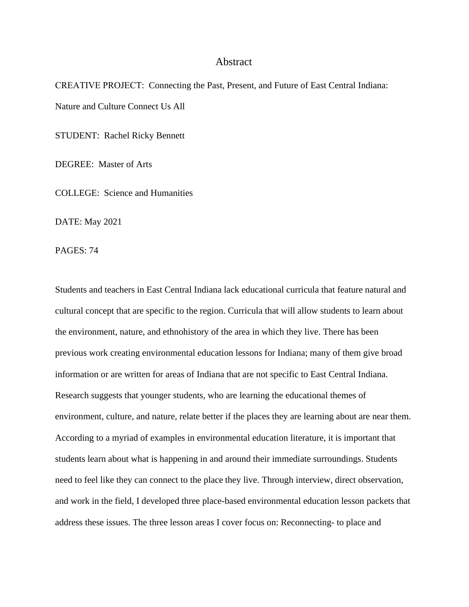## Abstract

CREATIVE PROJECT: Connecting the Past, Present, and Future of East Central Indiana: Nature and Culture Connect Us All

STUDENT: Rachel Ricky Bennett

DEGREE: Master of Arts

COLLEGE: Science and Humanities

DATE: May 2021

PAGES: 74

Students and teachers in East Central Indiana lack educational curricula that feature natural and cultural concept that are specific to the region. Curricula that will allow students to learn about the environment, nature, and ethnohistory of the area in which they live. There has been previous work creating environmental education lessons for Indiana; many of them give broad information or are written for areas of Indiana that are not specific to East Central Indiana. Research suggests that younger students, who are learning the educational themes of environment, culture, and nature, relate better if the places they are learning about are near them. According to a myriad of examples in environmental education literature, it is important that students learn about what is happening in and around their immediate surroundings. Students need to feel like they can connect to the place they live. Through interview, direct observation, and work in the field, I developed three place-based environmental education lesson packets that address these issues. The three lesson areas I cover focus on: Reconnecting- to place and